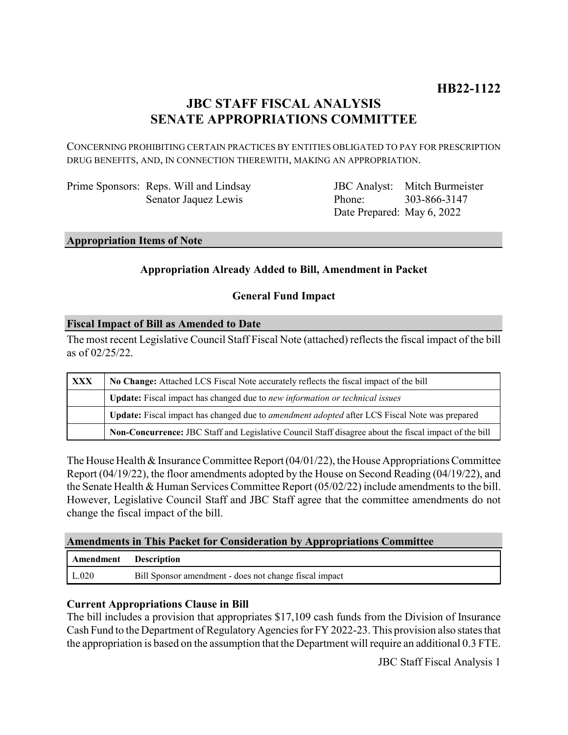## **JBC STAFF FISCAL ANALYSIS SENATE APPROPRIATIONS COMMITTEE**

CONCERNING PROHIBITING CERTAIN PRACTICES BY ENTITIES OBLIGATED TO PAY FOR PRESCRIPTION DRUG BENEFITS, AND, IN CONNECTION THEREWITH, MAKING AN APPROPRIATION.

| Prime Sponsors: Reps. Will and Lindsay |
|----------------------------------------|
| Senator Jaquez Lewis                   |

JBC Analyst: Mitch Burmeister Phone: Date Prepared: May 6, 2022 303-866-3147

#### **Appropriation Items of Note**

### **Appropriation Already Added to Bill, Amendment in Packet**

#### **General Fund Impact**

#### **Fiscal Impact of Bill as Amended to Date**

The most recent Legislative Council Staff Fiscal Note (attached) reflects the fiscal impact of the bill as of 02/25/22.

| <b>XXX</b> | No Change: Attached LCS Fiscal Note accurately reflects the fiscal impact of the bill                 |  |
|------------|-------------------------------------------------------------------------------------------------------|--|
|            | <b>Update:</b> Fiscal impact has changed due to new information or technical issues                   |  |
|            | Update: Fiscal impact has changed due to <i>amendment adopted</i> after LCS Fiscal Note was prepared  |  |
|            | Non-Concurrence: JBC Staff and Legislative Council Staff disagree about the fiscal impact of the bill |  |

The House Health & Insurance Committee Report (04/01/22), the House Appropriations Committee Report (04/19/22), the floor amendments adopted by the House on Second Reading (04/19/22), and the Senate Health & Human Services Committee Report (05/02/22) include amendments to the bill. However, Legislative Council Staff and JBC Staff agree that the committee amendments do not change the fiscal impact of the bill.

#### **Amendments in This Packet for Consideration by Appropriations Committee**

| Amendment Description |                                                        |
|-----------------------|--------------------------------------------------------|
| L.020                 | Bill Sponsor amendment - does not change fiscal impact |

#### **Current Appropriations Clause in Bill**

The bill includes a provision that appropriates \$17,109 cash funds from the Division of Insurance Cash Fund to the Department of Regulatory Agencies for FY 2022-23. This provision also states that the appropriation is based on the assumption that the Department will require an additional 0.3 FTE.